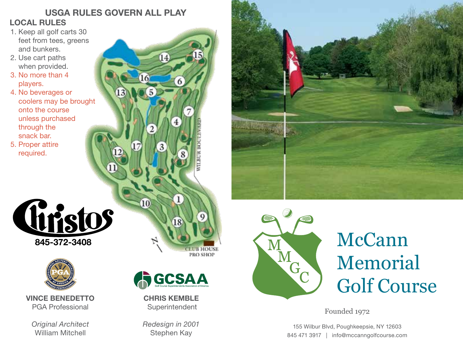## USGA RULES GOVERN ALL PLAY LOCAL RULES

- 1. Keep all golf carts 30 feet from tees, greens and bunkers.
- 2. Use cart paths when provided.
- 3. No more than 4 players.
- 4. No beverages or coolers may be brought onto the course unless purchased through the snack bar.
- 5. Proper attire required.





VINCE BENEDETTO PGA Professional

*Original Architect* William Mitchell





CHRIS KEMBLE Superintendent

*Redesign in 2001* Stephen Kay





## McCann Memorial Golf Course

Founded 1972

155 Wilbur Blvd, Poughkeepsie, NY 12603 845 471 3917 | info@mccanngolfcourse.com